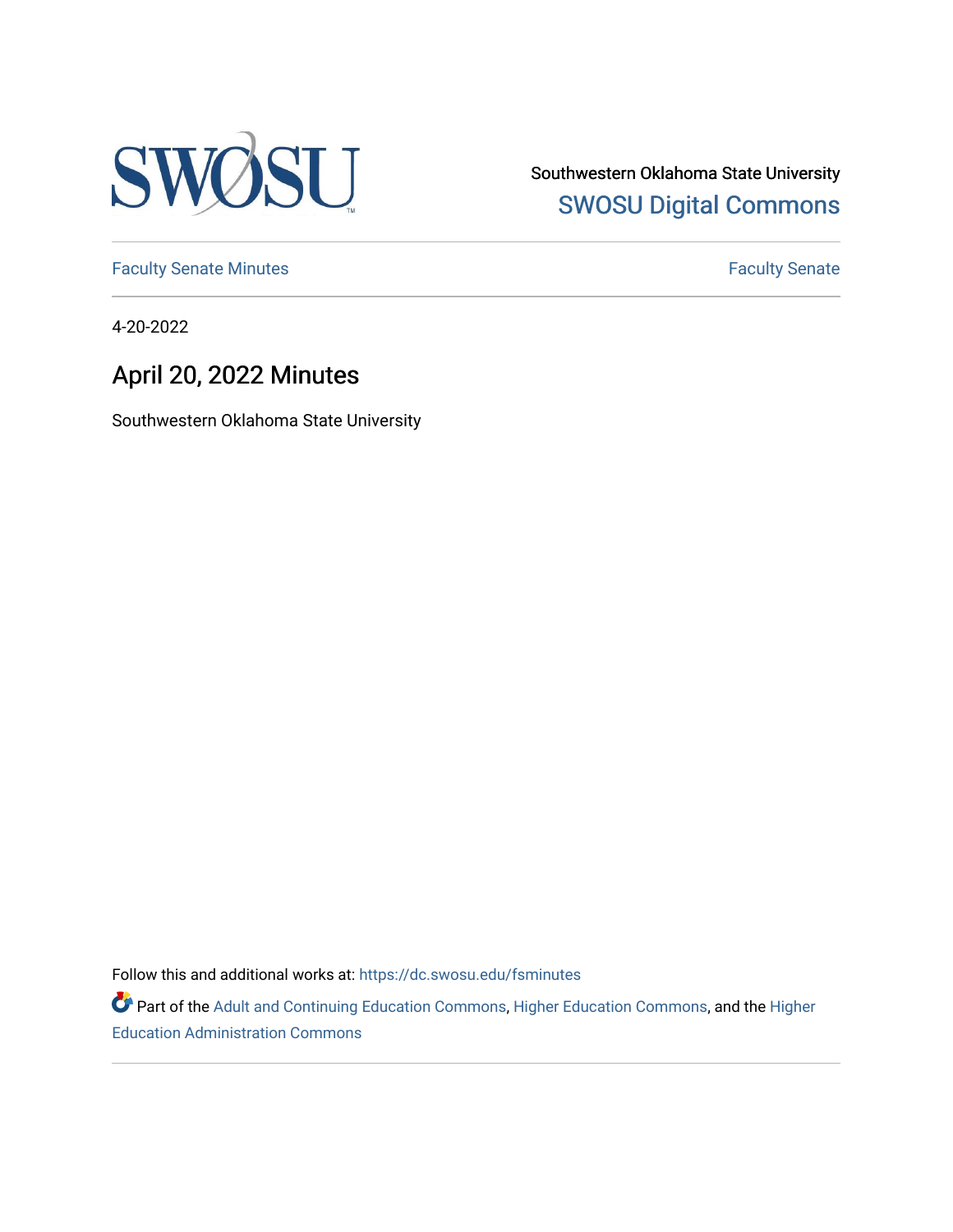

Southwestern Oklahoma State University [SWOSU Digital Commons](https://dc.swosu.edu/) 

[Faculty Senate Minutes](https://dc.swosu.edu/fsminutes) **Faculty** Senate Minutes

4-20-2022

# April 20, 2022 Minutes

Southwestern Oklahoma State University

Follow this and additional works at: [https://dc.swosu.edu/fsminutes](https://dc.swosu.edu/fsminutes?utm_source=dc.swosu.edu%2Ffsminutes%2F250&utm_medium=PDF&utm_campaign=PDFCoverPages) 

Part of the [Adult and Continuing Education Commons,](http://network.bepress.com/hgg/discipline/1375?utm_source=dc.swosu.edu%2Ffsminutes%2F250&utm_medium=PDF&utm_campaign=PDFCoverPages) [Higher Education Commons,](http://network.bepress.com/hgg/discipline/1245?utm_source=dc.swosu.edu%2Ffsminutes%2F250&utm_medium=PDF&utm_campaign=PDFCoverPages) and the [Higher](http://network.bepress.com/hgg/discipline/791?utm_source=dc.swosu.edu%2Ffsminutes%2F250&utm_medium=PDF&utm_campaign=PDFCoverPages) [Education Administration Commons](http://network.bepress.com/hgg/discipline/791?utm_source=dc.swosu.edu%2Ffsminutes%2F250&utm_medium=PDF&utm_campaign=PDFCoverPages)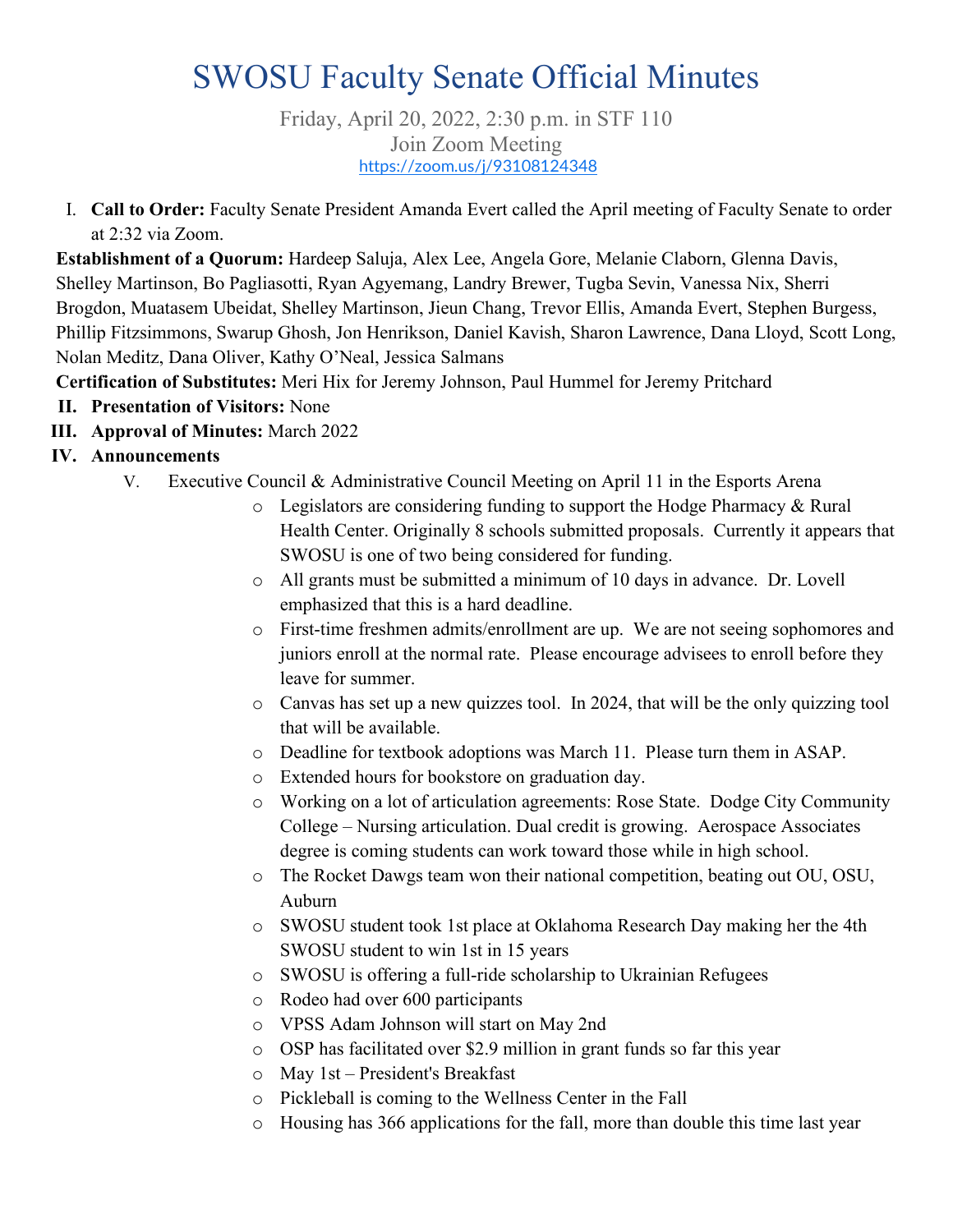# SWOSU Faculty Senate Official Minutes

Friday, April 20, 2022, 2:30 p.m. in STF 110 Join Zoom Meeting <https://zoom.us/j/93108124348>

I. **Call to Order:** Faculty Senate President Amanda Evert called the April meeting of Faculty Senate to order at 2:32 via Zoom.

**Establishment of a Quorum:** Hardeep Saluja, Alex Lee, Angela Gore, Melanie Claborn, Glenna Davis, Shelley Martinson, Bo Pagliasotti, Ryan Agyemang, Landry Brewer, Tugba Sevin, Vanessa Nix, Sherri Brogdon, Muatasem Ubeidat, Shelley Martinson, Jieun Chang, Trevor Ellis, Amanda Evert, Stephen Burgess, Phillip Fitzsimmons, Swarup Ghosh, Jon Henrikson, Daniel Kavish, Sharon Lawrence, Dana Lloyd, Scott Long, Nolan Meditz, Dana Oliver, Kathy O'Neal, Jessica Salmans

**Certification of Substitutes:** Meri Hix for Jeremy Johnson, Paul Hummel for Jeremy Pritchard

- **II. Presentation of Visitors:** None
- **III. Approval of Minutes:** March 2022

### **IV. Announcements**

- V. Executive Council & Administrative Council Meeting on April 11 in the Esports Arena
	- o Legislators are considering funding to support the Hodge Pharmacy & Rural Health Center. Originally 8 schools submitted proposals. Currently it appears that SWOSU is one of two being considered for funding.
	- o All grants must be submitted a minimum of 10 days in advance. Dr. Lovell emphasized that this is a hard deadline.
	- o First-time freshmen admits/enrollment are up. We are not seeing sophomores and juniors enroll at the normal rate. Please encourage advisees to enroll before they leave for summer.
	- o Canvas has set up a new quizzes tool. In 2024, that will be the only quizzing tool that will be available.
	- o Deadline for textbook adoptions was March 11. Please turn them in ASAP.
	- o Extended hours for bookstore on graduation day.
	- o Working on a lot of articulation agreements: Rose State. Dodge City Community College – Nursing articulation. Dual credit is growing. Aerospace Associates degree is coming students can work toward those while in high school.
	- o The Rocket Dawgs team won their national competition, beating out OU, OSU, Auburn
	- o SWOSU student took 1st place at Oklahoma Research Day making her the 4th SWOSU student to win 1st in 15 years
	- o SWOSU is offering a full-ride scholarship to Ukrainian Refugees
	- o Rodeo had over 600 participants
	- o VPSS Adam Johnson will start on May 2nd
	- o OSP has facilitated over \$2.9 million in grant funds so far this year
	- o May 1st President's Breakfast
	- o Pickleball is coming to the Wellness Center in the Fall
	- o Housing has 366 applications for the fall, more than double this time last year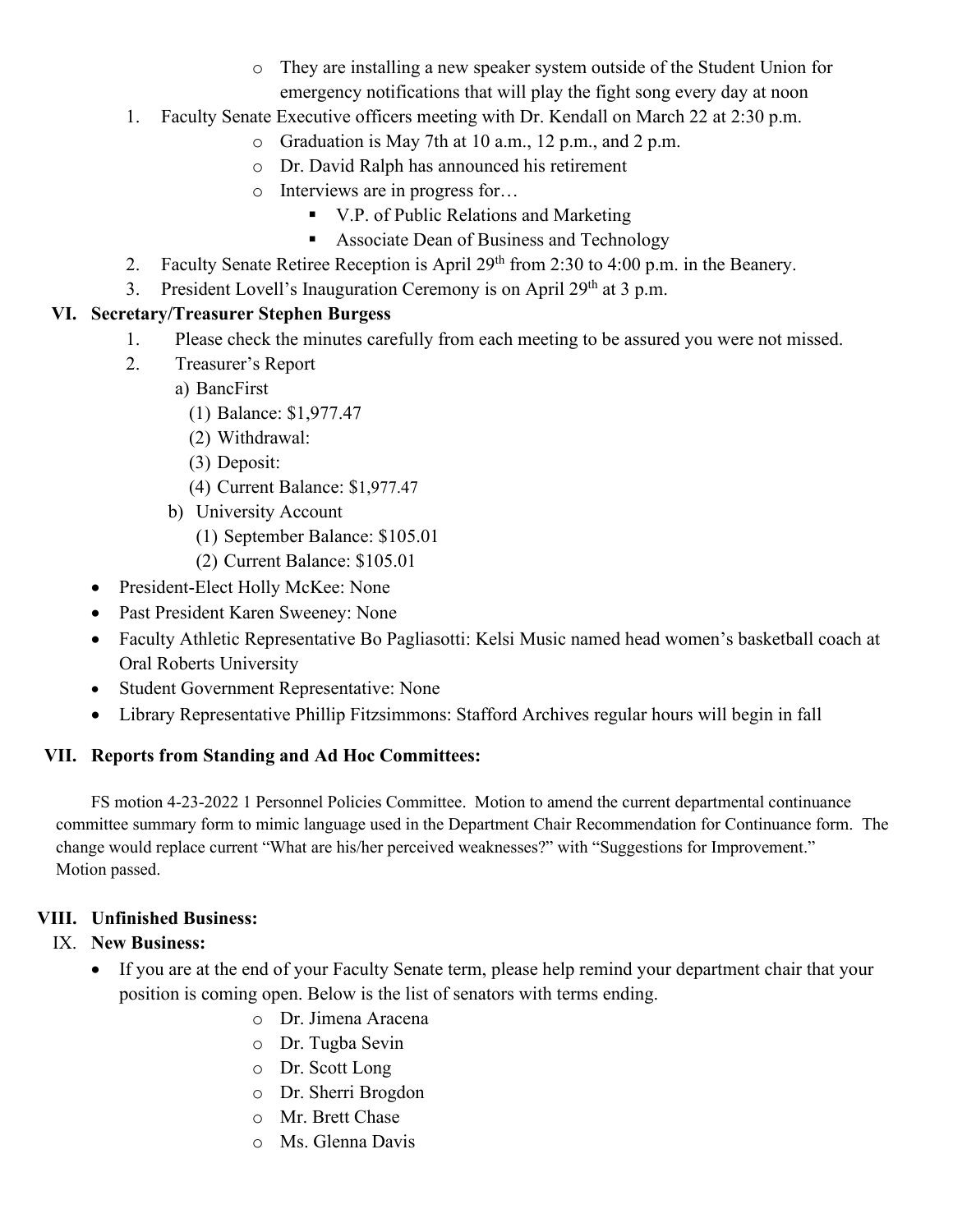- o They are installing a new speaker system outside of the Student Union for emergency notifications that will play the fight song every day at noon
- 1. Faculty Senate Executive officers meeting with Dr. Kendall on March 22 at 2:30 p.m.
	- o Graduation is May 7th at 10 a.m., 12 p.m., and 2 p.m.
	- o Dr. David Ralph has announced his retirement
	- o Interviews are in progress for…
		- V.P. of Public Relations and Marketing
		- Associate Dean of Business and Technology
- 2. Faculty Senate Retiree Reception is April 29<sup>th</sup> from 2:30 to 4:00 p.m. in the Beanery.
- 3. President Lovell's Inauguration Ceremony is on April 29<sup>th</sup> at 3 p.m.

# **VI. Secretary/Treasurer Stephen Burgess**

- 1. Please check the minutes carefully from each meeting to be assured you were not missed.
- 2. Treasurer's Report
	- a) BancFirst
		- (1) Balance: \$1,977.47
		- (2) Withdrawal:
		- (3) Deposit:
		- (4) Current Balance: \$1,977.47
	- b) University Account
		- (1) September Balance: \$105.01
	- (2) Current Balance: \$105.01
- President-Elect Holly McKee: None
- Past President Karen Sweeney: None
- Faculty Athletic Representative Bo Pagliasotti: Kelsi Music named head women's basketball coach at Oral Roberts University
- Student Government Representative: None
- Library Representative Phillip Fitzsimmons: Stafford Archives regular hours will begin in fall

# **VII. Reports from Standing and Ad Hoc Committees:**

FS motion 4-23-2022 1 Personnel Policies Committee. Motion to amend the current departmental continuance committee summary form to mimic language used in the Department Chair Recommendation for Continuance form. The change would replace current "What are his/her perceived weaknesses?" with "Suggestions for Improvement." Motion passed.

# **VIII. Unfinished Business:**

### IX. **New Business:**

- If you are at the end of your Faculty Senate term, please help remind your department chair that your position is coming open. Below is the list of senators with terms ending.
	- o Dr. Jimena Aracena
	- o Dr. Tugba Sevin
	- o Dr. Scott Long
	- o Dr. Sherri Brogdon
	- o Mr. Brett Chase
	- o Ms. Glenna Davis